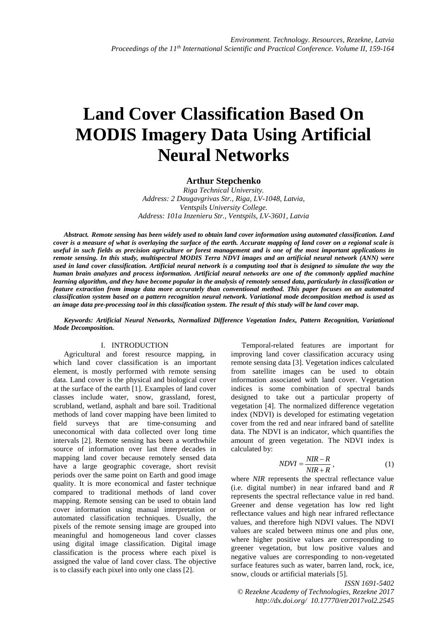# **Land Cover Classification Based On MODIS Imagery Data Using Artificial Neural Networks**

# **Arthur Stepchenko**

*Riga Technical University. Address: 2 Daugavgrivas Str., Riga, LV-1048, Latvia, Ventspils University College. Address: 101a Inzenieru Str., Ventspils, LV-3601, Latvia* 

*Abstract. Remote sensing has been widely used to obtain land cover information using automated classification. Land cover is a measure of what is overlaying the surface of the earth. Accurate mapping of land cover on a regional scale is useful in such fields as precision agriculture or forest management and is one of the most important applications in remote sensing. In this study, multispectral MODIS Terra NDVI images and an artificial neural network (ANN) were used in land cover classification. Artificial neural network is a computing tool that is designed to simulate the way the human brain analyzes and process information. Artificial neural networks are one of the commonly applied machine learning algorithm, and they have become popular in the analysis of remotely sensed data, particularly in classification or feature extraction from image data more accurately than conventional method. This paper focuses on an automated classification system based on a pattern recognition neural network. Variational mode decomposition method is used as an image data pre-processing tool in this classification system. The result of this study will be land cover map.*

*Keywords: Artificial Neural Networks, Normalized Difference Vegetation Index, Pattern Recognition, Variational Mode Decomposition.* 

#### I. INTRODUCTION

Agricultural and forest resource mapping, in which land cover classification is an important element, is mostly performed with remote sensing data. Land cover is the physical and biological cover at the surface of the earth [1]. Examples of land cover classes include water, snow, grassland, forest, scrubland, wetland, asphalt and bare soil. Traditional methods of land cover mapping have been limited to field surveys that are time-consuming and uneconomical with data collected over long time intervals [2]. Remote sensing has been a worthwhile source of information over last three decades in mapping land cover because remotely sensed data have a large geographic coverage, short revisit periods over the same point on Earth and good image quality. It is more economical and faster technique compared to traditional methods of land cover mapping. Remote sensing can be used to obtain land cover information using manual interpretation or automated classification techniques. Usually, the pixels of the remote sensing image are grouped into meaningful and homogeneous land cover classes using digital image classification. Digital image classification is the process where each pixel is assigned the value of land cover class. The objective is to classify each pixel into only one class [2].

Temporal-related features are important for improving land cover classification accuracy using remote sensing data [3]. Vegetation indices calculated from satellite images can be used to obtain information associated with land cover. Vegetation indices is some combination of spectral bands designed to take out a particular property of vegetation [4]. The normalized difference vegetation index (NDVI) is developed for estimating vegetation cover from the red and near infrared band of satellite data. The NDVI is an indicator, which quantifies the amount of green vegetation. The NDVI index is calculated by:

$$
NDVI = \frac{NIR - R}{NIR + R},\tag{1}
$$

where *NIR* represents the spectral reflectance value (i.e. digital number) in near infrared band and *R* represents the spectral reflectance value in red band. Greener and dense vegetation has low red light reflectance values and high near infrared reflectance values, and therefore high NDVI values. The NDVI values are scaled between minus one and plus one, where higher positive values are corresponding to greener vegetation, but low positive values and negative values are corresponding to non-vegetated surface features such as water, barren land, rock, ice, snow, clouds or artificial materials [5].

*ISSN 1691-5402 © Rezekne Academy of Technologies, Rezekne 2017 http://dx.doi.org/ 10.17770/etr2017vol2.2545*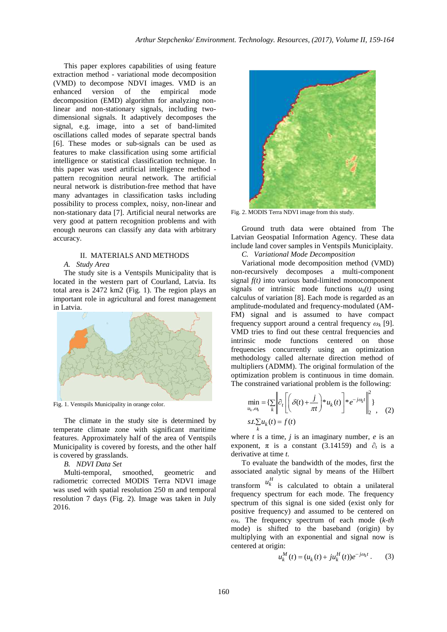This paper explores capabilities of using feature extraction method - variational mode decomposition (VMD) to decompose NDVI images. VMD is an enhanced version of the empirical mode decomposition (EMD) algorithm for analyzing nonlinear and non-stationary signals, including twodimensional signals. It adaptively decomposes the signal, e.g. image, into a set of band-limited oscillations called modes of separate spectral bands [6]. These modes or sub-signals can be used as features to make classification using some artificial intelligence or statistical classification technique. In this paper was used artificial intelligence method pattern recognition neural network. The artificial neural network is distribution-free method that have many advantages in classification tasks including possibility to process complex, noisy, non-linear and non-stationary data [7]. Artificial neural networks are very good at pattern recognition problems and with enough neurons can classify any data with arbitrary accuracy.

## II. MATERIALS AND METHODS

#### *A. Study Area*

The study site is a Ventspils Municipality that is located in the western part of Courland, Latvia. Its total area is 2472 km2 (Fig. 1). The region plays an important role in agricultural and forest management in Latvia.



Fig. 1. Ventspils Municipality in orange color.

The climate in the study site is determined by temperate climate zone with significant maritime features. Approximately half of the area of Ventspils Municipality is covered by forests, and the other half is covered by grasslands.

*B. NDVI Data Set* 

Multi-temporal, smoothed, geometric and radiometric corrected MODIS Terra NDVI image was used with spatial resolution 250 m and temporal resolution 7 days (Fig. 2). Image was taken in July 2016.



Fig. 2. MODIS Terra NDVI image from this study.

Ground truth data were obtained from The Latvian Geospatial Information Agency. These data include land cover samples in Ventspils Municiplaity.

*C. Variational Mode Decomposition* 

Variational mode decomposition method (VMD) non-recursively decomposes a multi-component signal *f(t)* into various band-limited monocomponent signals or intrinsic mode functions  $u_k(t)$  using calculus of variation [8]. Each mode is regarded as an amplitude-modulated and frequency-modulated (AM-FM) signal and is assumed to have compact frequency support around a central frequency  $\omega_k$  [9]. VMD tries to find out these central frequencies and intrinsic mode functions centered on those frequencies concurrently using an optimization methodology called alternate direction method of multipliers (ADMM). The original formulation of the optimization problem is continuous in time domain. The constrained variational problem is the following:

$$
\min_{u_k, \omega_k} = \left\{ \sum_k \left\| \hat{\sigma}_t \left[ \left( \delta(t) + \frac{j}{\pi t} \right)^* u_k(t) \right] \right\} e^{-j\omega_k t} \right\|_2^2,
$$
  

$$
s.t. \sum_k u_k(t) = f(t)
$$
 (2)

where  $t$  is a time,  $j$  is an imaginary number,  $e$  is an exponent,  $\pi$  is a constant (3.14159) and  $\partial_t$  is a derivative at time *t*.

To evaluate the bandwidth of the modes, first the associated analytic signal by means of the Hilbert transform  $u_k^H$  is calculated to obtain a unilateral frequency spectrum for each mode. The frequency spectrum of this signal is one sided (exist only for positive frequency) and assumed to be centered on *ωk*. The frequency spectrum of each mode (*k-th* mode) is shifted to the baseband (origin) by multiplying with an exponential and signal now is centered at origin:

$$
u_k^M(t) = (u_k(t) + ju_k^H(t))e^{-j\omega_k t}.
$$
 (3)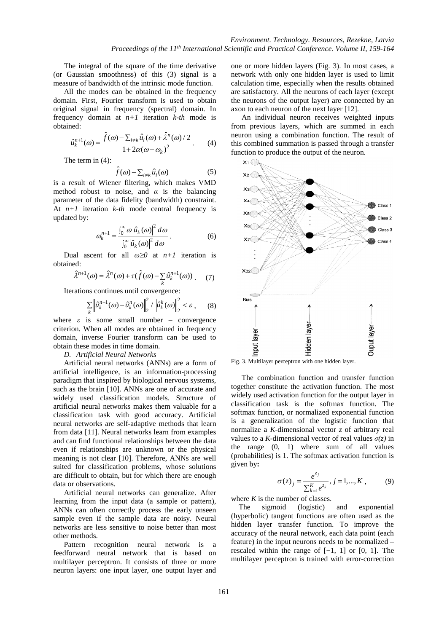The integral of the square of the time derivative (or Gaussian smoothness) of this (3) signal is a measure of bandwidth of the intrinsic mode function.

All the modes can be obtained in the frequency domain. First, Fourier transform is used to obtain original signal in frequency (spectral) domain. In frequency domain at *n+1* iteration *k-th* mode is obtained:

$$
\hat{u}_k^{n+1}(\omega) = \frac{\hat{f}(\omega) - \sum_{i \neq k} \hat{u}_i(\omega) + \hat{\lambda}^n(\omega)/2}{1 + 2\alpha(\omega - \omega_k)^2}.
$$
 (4)

The term in (4):

$$
\hat{f}(\omega) - \sum_{i \neq k} \hat{u}_i(\omega) \tag{5}
$$

is a result of Wiener filtering, which makes VMD method robust to noise, and  $\alpha$  is the balancing parameter of the data fidelity (bandwidth) constraint. At *n+1* iteration *k-th* mode central frequency is updated by:

$$
\omega_k^{n+1} = \frac{\int_0^\infty \omega |\hat{u}_k(\omega)|^2 d\omega}{\int_0^\infty |\hat{u}_k(\omega)|^2 d\omega}.
$$
 (6)

Dual ascent for all  $\omega \ge 0$  at  $n+1$  iteration is obtained:

$$
\hat{\lambda}^{n+1}(\omega) = \hat{\lambda}^n(\omega) + \tau(\hat{f}(\omega) - \sum_k \hat{u}_k^{n+1}(\omega)) \tag{7}
$$

Iterations continues until convergence:

$$
\sum_{k} \left\| \hat{u}_{k}^{n+1}(\omega) - \hat{u}_{k}^{n}(\omega) \right\|_{2}^{2} / \left\| \hat{u}_{k}^{k}(\omega) \right\|_{2}^{2} < \varepsilon , \qquad (8)
$$

where  $\varepsilon$  is some small number – convergence criterion. When all modes are obtained in frequency domain, inverse Fourier transform can be used to obtain these modes in time domain.

*D. Artificial Neural Networks* 

Artificial neural networks (ANNs) are a form of artificial intelligence, is an information-processing paradigm that inspired by biological nervous systems, such as the brain [10]. ANNs are one of accurate and widely used classification models. Structure of artificial neural networks makes them valuable for a classification task with good accuracy. Artificial neural networks are self-adaptive methods that learn from data [11]. Neural networks learn from examples and can find functional relationships between the data even if relationships are unknown or the physical meaning is not clear [10]. Therefore, ANNs are well suited for classification problems, whose solutions are difficult to obtain, but for which there are enough data or observations.

Artificial neural networks can generalize. After learning from the input data (a sample or pattern), ANNs can often correctly process the early unseen sample even if the sample data are noisy. Neural networks are less sensitive to noise better than most other methods.

Pattern recognition neural network is a feedforward neural network that is based on multilayer perceptron. It consists of three or more neuron layers: one input layer, one output layer and

one or more hidden layers (Fig. 3). In most cases, a network with only one hidden layer is used to limit calculation time, especially when the results obtained are satisfactory. All the neurons of each layer (except the neurons of the output layer) are connected by an axon to each neuron of the next layer [12].

An individual neuron receives weighted inputs from previous layers, which are summed in each neuron using a combination function. The result of this combined summation is passed through a transfer function to produce the output of the neuron.



Fig. 3. Multilayer perceptron with one hidden layer.

The combination function and transfer function together constitute the activation function. The most widely used activation function for the output layer in classification task is the softmax function. The softmax function, or normalized exponential function is a generalization of the logistic function that normalize a *K*-dimensional vector *z* of arbitrary real values to a *K*-dimensional vector of real values  $\sigma(z)$  in the range (0, 1) where sum of all values (probabilities) is 1. The softmax activation function is given by**:** 

$$
\sigma(z)_j = \frac{e^{z_j}}{\sum_{k=1}^K e^{z_k}}, j = 1, ..., K ,
$$
 (9)

where *K* is the number of classes.

 The sigmoid (logistic) and exponential (hyperbolic) tangent functions are often used as the hidden layer transfer function. To improve the accuracy of the neural network, each data point (each feature) in the input neurons needs to be normalized – rescaled within the range of [−1, 1] or [0, 1]. The multilayer perceptron is trained with error-correction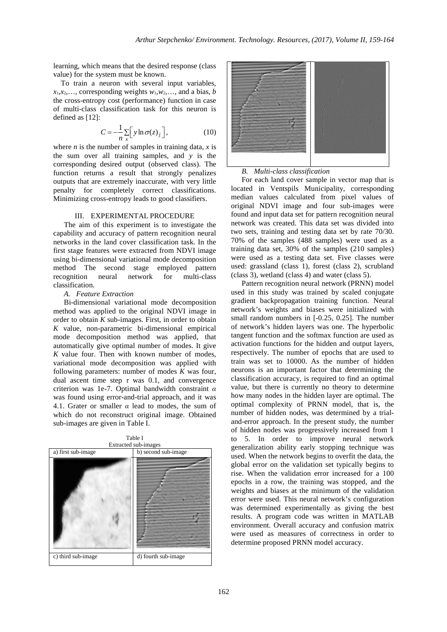learning, which means that the desired response (class value) for the system must be known.

To train a neuron with several input variables,  $x_1, x_2, \ldots$ , corresponding weights  $w_1, w_2, \ldots$ , and a bias, *b* the cross-entropy cost (performance) function in case of multi-class classification task for this neuron is defined as [12]:

$$
C = -\frac{1}{n} \sum_{x} \left[ y \ln \sigma(z)_j \right],
$$
 (10)

where *n* is the number of samples in training data, *x* is the sum over all training samples, and *y* is the corresponding desired output (observed class). The function returns a result that strongly penalizes outputs that are extremely inaccurate, with very little penalty for completely correct classifications. Minimizing cross-entropy leads to good classifiers.

#### III. EXPERIMENTAL PROCEDURE

The aim of this experiment is to investigate the capability and accuracy of pattern recognition neural networks in the land cover classification task. In the first stage features were extracted from NDVI image using bi-dimensional variational mode decomposition method The second stage employed pattern<br>recognition neural network for multi-class recognition neural network for multi-class classification.

## *A. Feature Extraction*

Bi-dimensional variational mode decomposition method was applied to the original NDVI image in order to obtain *K* sub-images. First, in order to obtain *K* value, non-parametric bi-dimensional empirical mode decomposition method was applied, that automatically give optimal number of modes. It give *K* value four. Then with known number of modes, variational mode decomposition was applied with following parameters: number of modes *K* was four, dual ascent time step  $\tau$  was 0.1, and convergence criterion was 1e-7. Optimal bandwidth constraint *α* was found using error-and-trial approach, and it was 4.1. Grater or smaller *α* lead to modes, the sum of which do not reconstruct original image. Obtained sub-images are given in Table I.





*B. Multi-class classification* 

For each land cover sample in vector map that is located in Ventspils Municipality, corresponding median values calculated from pixel values of original NDVI image and four sub-images were found and input data set for pattern recognition neural network was created. This data set was divided into two sets, training and testing data set by rate 70/30. 70% of the samples (488 samples) were used as a training data set, 30% of the samples (210 samples) were used as a testing data set. Five classes were used: grassland (class 1), forest (class 2), scrubland (class 3), wetland (class 4) and water (class 5).

Pattern recognition neural network (PRNN) model used in this study was trained by scaled conjugate gradient backpropagation training function. Neural network's weights and biases were initialized with small random numbers in [-0.25, 0.25]. The number of network's hidden layers was one. The hyperbolic tangent function and the softmax function are used as activation functions for the hidden and output layers, respectively. The number of epochs that are used to train was set to 10000. As the number of hidden neurons is an important factor that determining the classification accuracy, is required to find an optimal value, but there is currently no theory to determine how many nodes in the hidden layer are optimal. The optimal complexity of PRNN model, that is, the number of hidden nodes, was determined by a trialand-error approach. In the present study, the number of hidden nodes was progressively increased from 1 to 5. In order to improve neural network generalization ability early stopping technique was used. When the network begins to overfit the data, the global error on the validation set typically begins to rise. When the validation error increased for a 100 epochs in a row, the training was stopped, and the weights and biases at the minimum of the validation error were used. This neural network's configuration was determined experimentally as giving the best results. A program code was written in MATLAB environment. Overall accuracy and confusion matrix were used as measures of correctness in order to determine proposed PRNN model accuracy.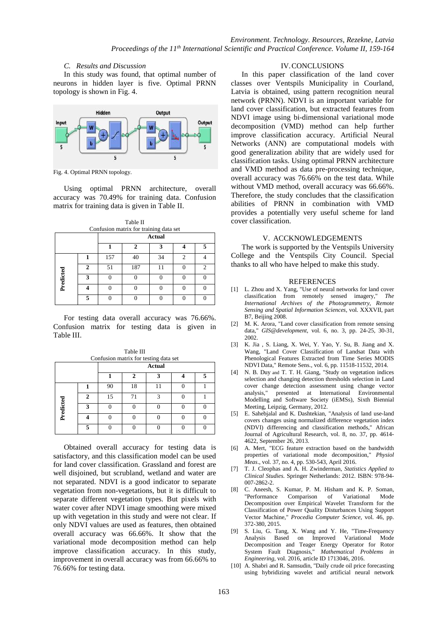# *C. Results and Discussion*

In this study was found, that optimal number of neurons in hidden layer is five. Optimal PRNN topology is shown in Fig. 4.



Fig. 4. Optimal PRNN topology.

Using optimal PRNN architecture, overall accuracy was 70.49% for training data. Confusion matrix for training data is given in Table II.

| Table II                                                |   |     |     |    |   |               |  |  |  |
|---------------------------------------------------------|---|-----|-----|----|---|---------------|--|--|--|
| Confusion matrix for training data set<br><b>Actual</b> |   |     |     |    |   |               |  |  |  |
|                                                         |   |     |     | 3  |   |               |  |  |  |
| Predicted                                               |   | 157 | 40  | 34 | ↑ |               |  |  |  |
|                                                         | 2 | 51  | 187 |    |   | $\mathcal{D}$ |  |  |  |
|                                                         | 3 | n   | ∩   | O  |   |               |  |  |  |
|                                                         |   |     |     |    |   |               |  |  |  |
|                                                         |   |     |     |    |   |               |  |  |  |

For testing data overall accuracy was 76.66%. Confusion matrix for testing data is given in Table III.

Table III Confusion matrix for testing data set

|           |   | <b>Actual</b> |    |  |  |  |  |  |
|-----------|---|---------------|----|--|--|--|--|--|
|           |   |               |    |  |  |  |  |  |
| Predicted |   | 90            | 18 |  |  |  |  |  |
|           |   | 15            |    |  |  |  |  |  |
|           | σ |               |    |  |  |  |  |  |
|           |   |               |    |  |  |  |  |  |
|           | - |               |    |  |  |  |  |  |

Obtained overall accuracy for testing data is satisfactory, and this classification model can be used for land cover classification. Grassland and forest are well disjoined, but scrubland, wetland and water are not separated. NDVI is a good indicator to separate vegetation from non-vegetations, but it is difficult to separate different vegetation types. But pixels with water cover after NDVI image smoothing were mixed up with vegetation in this study and were not clear. If only NDVI values are used as features, then obtained overall accuracy was 66.66%. It show that the variational mode decomposition method can help improve classification accuracy. In this study, improvement in overall accuracy was from 66.66% to 76.66% for testing data.

## IV.CONCLUSIONS

In this paper classification of the land cover classes over Ventspils Municipality in Courland, Latvia is obtained, using pattern recognition neural network (PRNN). NDVI is an important variable for land cover classification, but extracted features from NDVI image using bi-dimensional variational mode decomposition (VMD) method can help further improve classification accuracy. Artificial Neural Networks (ANN) are computational models with good generalization ability that are widely used for classification tasks. Using optimal PRNN architecture and VMD method as data pre-processing technique, overall accuracy was 76.66% on the test data. While without VMD method, overall accuracy was 66.66%. Therefore, the study concludes that the classification abilities of PRNN in combination with VMD provides a potentially very useful scheme for land cover classification.

#### V. ACCKNOWLEDGEMENTS

The work is supported by the Ventspils University College and the Ventspils City Council. Special thanks to all who have helped to make this study.

#### REFERENCES

- [1] L. Zhou and X. Yang, "Use of neural networks for land cover classification from remotely sensed imagery," *The International Archives of the Photogrammetry, Remote Sensing and Spatial Information Sciences*, vol. XXXVII, part B7, Beijing 2008.
- [2] M. K. Arora, "Land cover classification from remote sensing data," *GIS@development*, vol. 6, no. 3, pp. 24-25, 30-31, 2002.
- [3] K. Jia , S. Liang, X. Wei, Y. Yao, Y. Su, B. Jiang and X. Wang, "Land Cover Classification of Landsat Data with Phenological Features Extracted from Time Series MODIS NDVI Data," Remote Sens., vol. 6, pp. 11518-11532, 2014.
- [4] N. B. Duy and T. T. H. Giang, "Study on vegetation indices selection and changing detection thresholds selection in Land cover change detection assessment using change vector analysis," presented at International Environmental Modelling and Software Society (iEMSs), Sixth Biennial Meeting, Leipzig, Germany, 2012.
- [5] E. Sahebjalal and K. Dashtekian, "Analysis of land use-land covers changes using normalized difference vegetation index (NDVI) differencing and classification methods," African Journal of Agricultural Research, vol. 8, no. 37, pp. 4614- 4622, September 26, 2013.
- [6] A. Mert, "ECG feature extraction based on the bandwidth properties of variational mode decomposition," *Physiol Meas*., vol. 37, no. 4, pp. 530-543, April 2016.
- [7] T. J. Cleophas and A. H. Zwinderman, *Statistics Applied to Clinical Studies*. Springer Netherlands: 2012. ISBN: 978-94- 007-2862-2.
- [8] C. Aneesh, S. Kumar, P. M. Hisham and K. P. Soman, "Performance Comparison of Variational Mode Decomposition over Empirical Wavelet Transform for the Classification of Power Quality Disturbances Using Support Vector Machine," *Procedia Computer Science*, vol. 46, pp. 372-380, 2015.
- [9] S. Liu, G. Tang, X. Wang and Y. He, "Time-Frequency Analysis Based on Improved Variational Mode Decomposition and Teager Energy Operator for Rotor System Fault Diagnosis," *Mathematical Problems in Engineering*, vol. 2016, article ID 1713046, 2016.
- [10] A. Shabri and R. Samsudin, "Daily crude oil price forecasting using hybridizing wavelet and artificial neural network